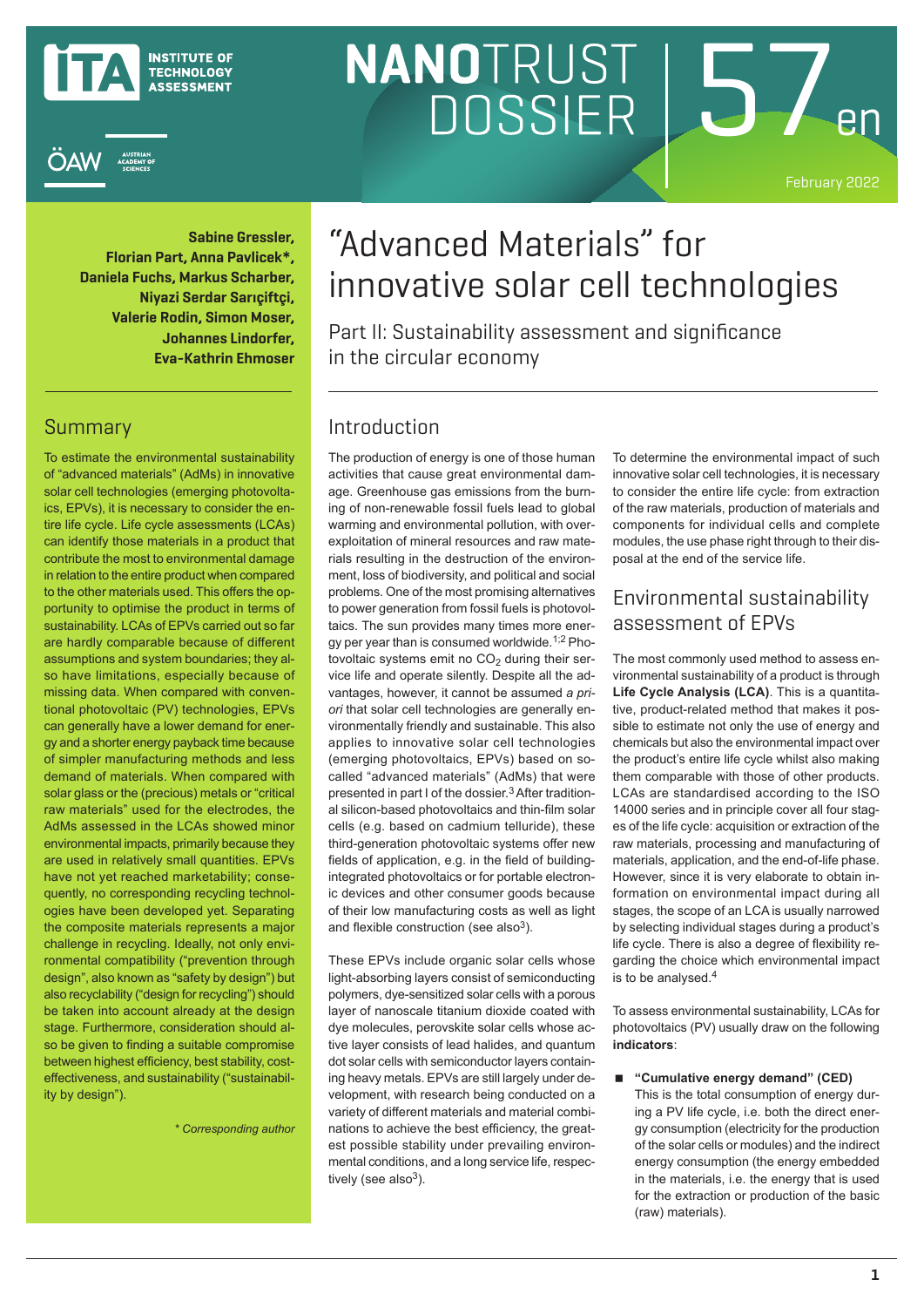



# NANOTRUST <u>15</u> DOSSIER

February 2022

**Sabine Gressler, Florian Part, Anna Pavlicek\*, Daniela Fuchs, Markus Scharber, Niyazi Serdar Sarıçiftçi, Valerie Rodin, Simon Moser, Johannes Lindorfer, Eva-Kathrin Ehmoser**

#### Summary

To estimate the environmental sustainability of "advanced materials" (AdMs) in innovative solar cell technologies (emerging photovoltaics, EPVs), it is necessary to consider the entire life cycle. Life cycle assessments (LCAs) can identify those materials in a product that contribute the most to environmental damage in relation to the entire product when compared to the other materials used. This offers the opportunity to optimise the product in terms of sustainability. LCAs of EPVs carried out so far are hardly comparable because of different assumptions and system boundaries; they also have limitations, especially because of missing data. When compared with conventional photovoltaic (PV) technologies, EPVs can generally have a lower demand for energy and a shorter energy payback time because of simpler manufacturing methods and less demand of materials. When compared with solar glass or the (precious) metals or "critical raw materials" used for the electrodes, the AdMs assessed in the LCAs showed minor environmental impacts, primarily because they are used in relatively small quantities. EPVs have not yet reached marketability; consequently, no corresponding recycling technologies have been developed yet. Separating the composite materials represents a major challenge in recycling. Ideally, not only environmental compatibility ("prevention through design", also known as "safety by design") but also recyclability ("design for recycling") should be taken into account already at the design stage. Furthermore, consideration should also be given to finding a suitable compromise between highest efficiency, best stability, costeffectiveness, and sustainability ("sustainability by design").

*\* Corresponding author*

# "Advanced Materials" for innovative solar cell technologies

Part II: Sustainability assessment and significance in the circular economy

### Introduction

The production of energy is one of those human activities that cause great environmental damage. Greenhouse gas emissions from the burning of non-renewable fossil fuels lead to global warming and environmental pollution, with overexploitation of mineral resources and raw materials resulting in the destruction of the environment, loss of biodiversity, and political and social problems. One of the most promising alternatives to power generation from fossil fuels is photovoltaics. The sun provides many times more energy per year than is consumed worldwide.1;2 Photovoltaic systems emit no  $CO<sub>2</sub>$  during their service life and operate silently. Despite all the advantages, however, it cannot be assumed *a priori* that solar cell technologies are generally environmentally friendly and sustainable. This also applies to innovative solar cell technologies (emerging photovoltaics, EPVs) based on socalled "advanced materials" (AdMs) that were presented in part I of the dossier.3 After traditional silicon-based photovoltaics and thin-film solar cells (e.g. based on cadmium telluride), these third-generation photovoltaic systems offer new fields of application, e.g. in the field of buildingintegrated photovoltaics or for portable electronic devices and other consumer goods because of their low manufacturing costs as well as light and flexible construction (see also<sup>3</sup>).

These EPVs include organic solar cells whose light-absorbing layers consist of semiconducting polymers, dye-sensitized solar cells with a porous layer of nanoscale titanium dioxide coated with dye molecules, perovskite solar cells whose active layer consists of lead halides, and quantum dot solar cells with semiconductor layers containing heavy metals. EPVs are still largely under development, with research being conducted on a variety of different materials and material combinations to achieve the best efficiency, the greatest possible stability under prevailing environmental conditions, and a long service life, respectively (see also<sup>3</sup>).

To determine the environmental impact of such innovative solar cell technologies, it is necessary to consider the entire life cycle: from extraction of the raw materials, production of materials and components for individual cells and complete modules, the use phase right through to their disposal at the end of the service life.

#### Environmental sustainability assessment of EPVs

The most commonly used method to assess environmental sustainability of a product is through **Life Cycle Analysis (LCA)**. This is a quantitative, product-related method that makes it possible to estimate not only the use of energy and chemicals but also the environmental impact over the product's entire life cycle whilst also making them comparable with those of other products. LCAs are standardised according to the ISO 14000 series and in principle cover all four stages of the life cycle: acquisition or extraction of the raw materials, processing and manufacturing of materials, application, and the end-of-life phase. However, since it is very elaborate to obtain information on environmental impact during all stages, the scope of an LCA is usually narrowed by selecting individual stages during a product's life cycle. There is also a degree of flexibility regarding the choice which environmental impact is to be analysed.<sup>4</sup>

To assess environmental sustainability, LCAs for photovoltaics (PV) usually draw on the following **indicators**:

 **"Cumulative energy demand" (CED)** This is the total consumption of energy during a PV life cycle, i.e. both the direct energy consumption (electricity for the production of the solar cells or modules) and the indirect energy consumption (the energy embedded in the materials, i.e. the energy that is used for the extraction or production of the basic (raw) materials).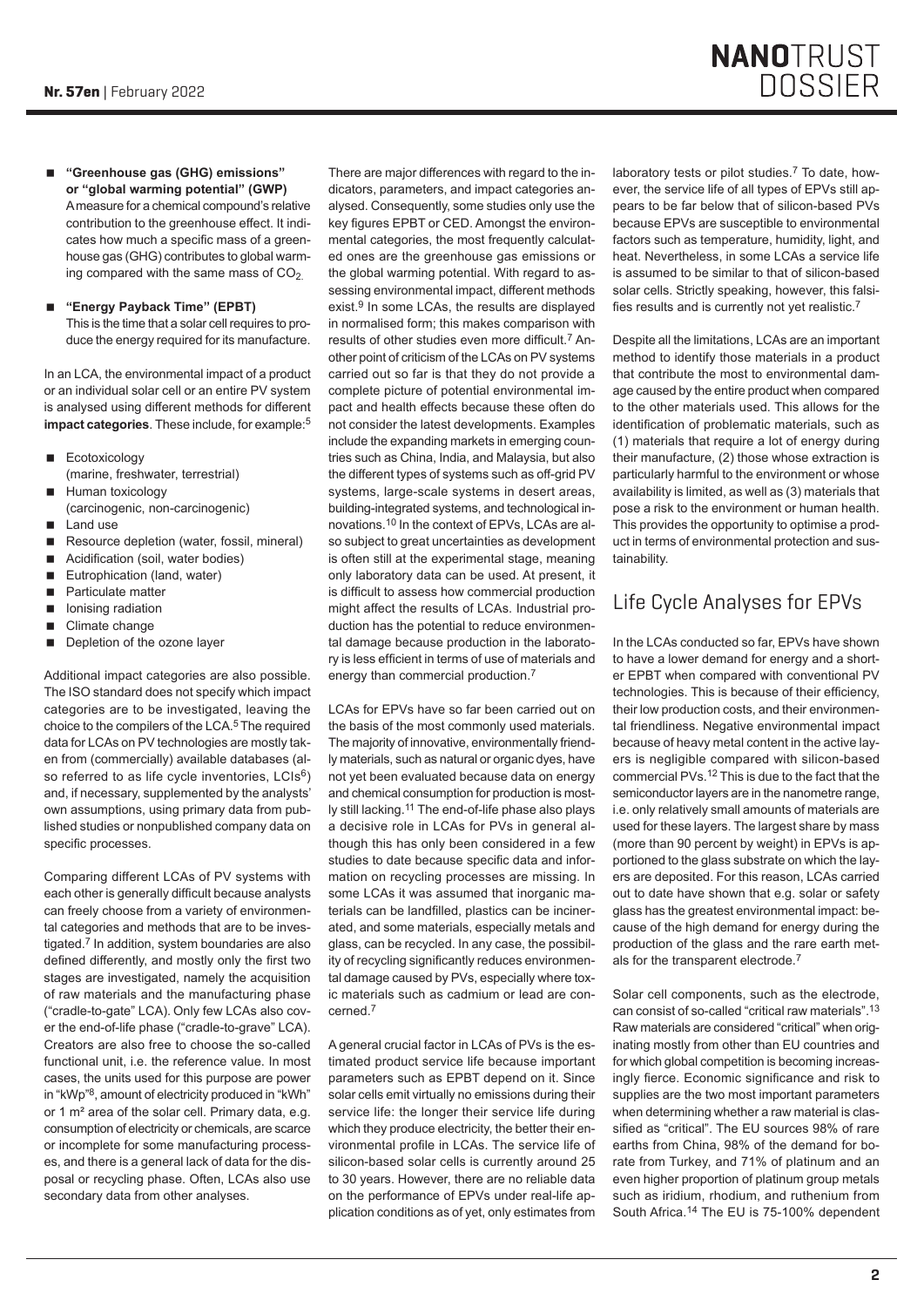- **"Greenhouse gas (GHG) emissions" or "global warming potential" (GWP)** A measure for a chemical compound's relative contribution to the greenhouse effect. It indicates how much a specific mass of a greenhouse gas (GHG) contributes to global warming compared with the same mass of  $CO<sub>2</sub>$ .
- **"Energy Payback Time" (EPBT)** This is the time that a solar cell requires to produce the energy required for its manufacture.

In an LCA, the environmental impact of a product or an individual solar cell or an entire PV system is analysed using different methods for different **impact categories**. These include, for example:<sup>5</sup>

- Ecotoxicology (marine, freshwater, terrestrial)
- Human toxicology (carcinogenic, non-carcinogenic)
- **Land use**
- Resource depletion (water, fossil, mineral)
- Acidification (soil, water bodies)
- Eutrophication (land, water)
- **Particulate matter**
- Ionising radiation
- Climate change
- Depletion of the ozone layer

Additional impact categories are also possible. The ISO standard does not specify which impact categories are to be investigated, leaving the choice to the compilers of the LCA.5 The required data for LCAs on PV technologies are mostly taken from (commercially) available databases (also referred to as life cycle inventories, LCIs<sup>6</sup>) and, if necessary, supplemented by the analysts' own assumptions, using primary data from published studies or nonpublished company data on specific processes.

Comparing different LCAs of PV systems with each other is generally difficult because analysts can freely choose from a variety of environmental categories and methods that are to be investigated.7 In addition, system boundaries are also defined differently, and mostly only the first two stages are investigated, namely the acquisition of raw materials and the manufacturing phase ("cradle-to-gate" LCA). Only few LCAs also cover the end-of-life phase ("cradle-to-grave" LCA). Creators are also free to choose the so-called functional unit, i.e. the reference value. In most cases, the units used for this purpose are power in "kWp"8, amount of electricity produced in "kWh" or 1 m² area of the solar cell. Primary data, e.g. consumption of electricity or chemicals, are scarce or incomplete for some manufacturing processes, and there is a general lack of data for the disposal or recycling phase. Often, LCAs also use secondary data from other analyses.

There are major differences with regard to the indicators, parameters, and impact categories analysed. Consequently, some studies only use the key figures EPBT or CED. Amongst the environmental categories, the most frequently calculated ones are the greenhouse gas emissions or the global warming potential. With regard to assessing environmental impact, different methods exist.9 In some LCAs, the results are displayed in normalised form; this makes comparison with results of other studies even more difficult.7 Another point of criticism of the LCAs on PV systems carried out so far is that they do not provide a complete picture of potential environmental impact and health effects because these often do not consider the latest developments. Examples include the expanding markets in emerging countries such as China, India, and Malaysia, but also the different types of systems such as off-grid PV systems, large-scale systems in desert areas, building-integrated systems, and technological innovations.10 In the context of EPVs, LCAs are also subject to great uncertainties as development is often still at the experimental stage, meaning only laboratory data can be used. At present, it is difficult to assess how commercial production might affect the results of LCAs. Industrial production has the potential to reduce environmental damage because production in the laboratory is less efficient in terms of use of materials and energy than commercial production.<sup>7</sup>

LCAs for EPVs have so far been carried out on the basis of the most commonly used materials. The majority of innovative, environmentally friendly materials, such as natural or organic dyes, have not yet been evaluated because data on energy and chemical consumption for production is mostly still lacking.<sup>11</sup> The end-of-life phase also plays a decisive role in LCAs for PVs in general although this has only been considered in a few studies to date because specific data and information on recycling processes are missing. In some LCAs it was assumed that inorganic materials can be landfilled, plastics can be incinerated, and some materials, especially metals and glass, can be recycled. In any case, the possibility of recycling significantly reduces environmental damage caused by PVs, especially where toxic materials such as cadmium or lead are concerned.<sup>7</sup>

A general crucial factor in LCAs of PVs is the estimated product service life because important parameters such as EPBT depend on it. Since solar cells emit virtually no emissions during their service life: the longer their service life during which they produce electricity, the better their environmental profile in LCAs. The service life of silicon-based solar cells is currently around 25 to 30 years. However, there are no reliable data on the performance of EPVs under real-life application conditions as of yet, only estimates from laboratory tests or pilot studies.<sup>7</sup> To date, however, the service life of all types of EPVs still appears to be far below that of silicon-based PVs because EPVs are susceptible to environmental factors such as temperature, humidity, light, and heat. Nevertheless, in some LCAs a service life is assumed to be similar to that of silicon-based solar cells. Strictly speaking, however, this falsifies results and is currently not yet realistic.<sup>7</sup>

Despite all the limitations, LCAs are an important method to identify those materials in a product that contribute the most to environmental damage caused by the entire product when compared to the other materials used. This allows for the identification of problematic materials, such as (1) materials that require a lot of energy during their manufacture, (2) those whose extraction is particularly harmful to the environment or whose availability is limited, as well as (3) materials that pose a risk to the environment or human health. This provides the opportunity to optimise a product in terms of environmental protection and sustainability.

## Life Cycle Analyses for EPVs

In the LCAs conducted so far, EPVs have shown to have a lower demand for energy and a shorter EPBT when compared with conventional PV technologies. This is because of their efficiency, their low production costs, and their environmental friendliness. Negative environmental impact because of heavy metal content in the active layers is negligible compared with silicon-based commercial PVs.12 This is due to the fact that the semiconductor layers are in the nanometre range, i.e. only relatively small amounts of materials are used for these layers. The largest share by mass (more than 90 percent by weight) in EPVs is apportioned to the glass substrate on which the layers are deposited. For this reason, LCAs carried out to date have shown that e.g. solar or safety glass has the greatest environmental impact: because of the high demand for energy during the production of the glass and the rare earth metals for the transparent electrode.<sup>7</sup>

Solar cell components, such as the electrode, can consist of so-called "critical raw materials".13 Raw materials are considered "critical" when originating mostly from other than EU countries and for which global competition is becoming increasingly fierce. Economic significance and risk to supplies are the two most important parameters when determining whether a raw material is classified as "critical". The EU sources 98% of rare earths from China, 98% of the demand for borate from Turkey, and 71% of platinum and an even higher proportion of platinum group metals such as iridium, rhodium, and ruthenium from South Africa.14 The EU is 75-100% dependent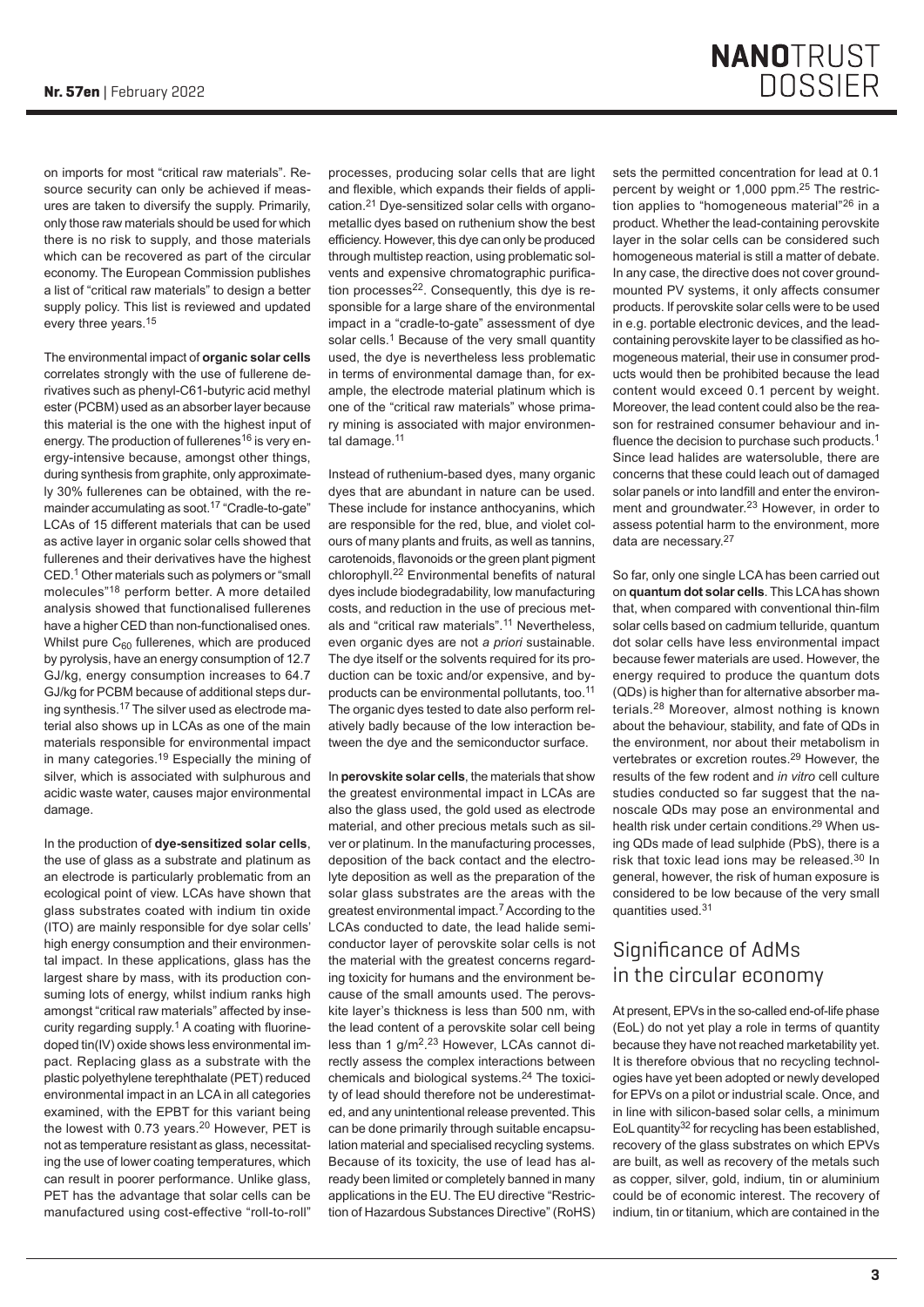on imports for most "critical raw materials". Resource security can only be achieved if measures are taken to diversify the supply. Primarily, only those raw materials should be used for which there is no risk to supply, and those materials which can be recovered as part of the circular economy. The European Commission publishes a list of "critical raw materials" to design a better supply policy. This list is reviewed and updated every three years.<sup>15</sup>

The environmental impact of **organic solar cells** correlates strongly with the use of fullerene derivatives such as phenyl-C61-butyric acid methyl ester (PCBM) used as an absorber layer because this material is the one with the highest input of energy. The production of fullerenes<sup>16</sup> is very energy-intensive because, amongst other things, during synthesis from graphite, only approximately 30% fullerenes can be obtained, with the remainder accumulating as soot.17 "Cradle-to-gate" LCAs of 15 different materials that can be used as active layer in organic solar cells showed that fullerenes and their derivatives have the highest CED.1 Other materials such as polymers or "small molecules"18 perform better. A more detailed analysis showed that functionalised fullerenes have a higher CED than non-functionalised ones. Whilst pure  $C_{60}$  fullerenes, which are produced by pyrolysis, have an energy consumption of 12.7 GJ/kg, energy consumption increases to 64.7 GJ/kg for PCBM because of additional steps during synthesis.17 The silver used as electrode material also shows up in LCAs as one of the main materials responsible for environmental impact in many categories.<sup>19</sup> Especially the mining of silver, which is associated with sulphurous and acidic waste water, causes major environmental damage.

In the production of **dye-sensitized solar cells**, the use of glass as a substrate and platinum as an electrode is particularly problematic from an ecological point of view. LCAs have shown that glass substrates coated with indium tin oxide (ITO) are mainly responsible for dye solar cells' high energy consumption and their environmental impact. In these applications, glass has the largest share by mass, with its production consuming lots of energy, whilst indium ranks high amongst "critical raw materials" affected by insecurity regarding supply.<sup>1</sup> A coating with fluorinedoped tin(IV) oxide shows less environmental impact. Replacing glass as a substrate with the plastic polyethylene terephthalate (PET) reduced environmental impact in an LCA in all categories examined, with the EPBT for this variant being the lowest with 0.73 years.<sup>20</sup> However, PET is not as temperature resistant as glass, necessitating the use of lower coating temperatures, which can result in poorer performance. Unlike glass, PET has the advantage that solar cells can be manufactured using cost-effective "roll-to-roll"

processes, producing solar cells that are light and flexible, which expands their fields of application.21 Dye-sensitized solar cells with organometallic dyes based on ruthenium show the best efficiency. However, this dye can only be produced through multistep reaction, using problematic solvents and expensive chromatographic purification processes<sup>22</sup>. Consequently, this dye is responsible for a large share of the environmental impact in a "cradle-to-gate" assessment of dye solar cells.<sup>1</sup> Because of the very small quantity used, the dye is nevertheless less problematic in terms of environmental damage than, for example, the electrode material platinum which is one of the "critical raw materials" whose primary mining is associated with major environmental damage.<sup>11</sup>

Instead of ruthenium-based dyes, many organic dyes that are abundant in nature can be used. These include for instance anthocyanins, which are responsible for the red, blue, and violet colours of many plants and fruits, as well as tannins, carotenoids, flavonoids or the green plant pigment chlorophyll.22 Environmental benefits of natural dyes include biodegradability, low manufacturing costs, and reduction in the use of precious metals and "critical raw materials".<sup>11</sup> Nevertheless even organic dyes are not *a priori* sustainable. The dye itself or the solvents required for its production can be toxic and/or expensive, and byproducts can be environmental pollutants, too.<sup>11</sup> The organic dyes tested to date also perform relatively badly because of the low interaction between the dye and the semiconductor surface.

In **perovskite solar cells**, the materials that show the greatest environmental impact in LCAs are also the glass used, the gold used as electrode material, and other precious metals such as silver or platinum. In the manufacturing processes, deposition of the back contact and the electrolyte deposition as well as the preparation of the solar glass substrates are the areas with the greatest environmental impact.7 According to the LCAs conducted to date, the lead halide semiconductor layer of perovskite solar cells is not the material with the greatest concerns regarding toxicity for humans and the environment because of the small amounts used. The perovskite layer's thickness is less than 500 nm, with the lead content of a perovskite solar cell being less than 1 g/m<sup>2,23</sup> However, LCAs cannot directly assess the complex interactions between chemicals and biological systems.24 The toxicity of lead should therefore not be underestimated, and any unintentional release prevented. This can be done primarily through suitable encapsulation material and specialised recycling systems. Because of its toxicity, the use of lead has already been limited or completely banned in many applications in the EU. The EU directive "Restriction of Hazardous Substances Directive" (RoHS) sets the permitted concentration for lead at 0.1 percent by weight or 1,000 ppm.25 The restriction applies to "homogeneous material"26 in a product. Whether the lead-containing perovskite layer in the solar cells can be considered such homogeneous material is still a matter of debate. In any case, the directive does not cover groundmounted PV systems, it only affects consumer products. If perovskite solar cells were to be used in e.g. portable electronic devices, and the leadcontaining perovskite layer to be classified as homogeneous material, their use in consumer products would then be prohibited because the lead content would exceed 0.1 percent by weight. Moreover, the lead content could also be the reason for restrained consumer behaviour and influence the decision to purchase such products.<sup>1</sup> Since lead halides are watersoluble, there are concerns that these could leach out of damaged solar panels or into landfill and enter the environment and groundwater.<sup>23</sup> However, in order to assess potential harm to the environment, more data are necessary.<sup>27</sup>

So far, only one single LCA has been carried out on **quantum dot solar cells**. This LCA has shown that, when compared with conventional thin-film solar cells based on cadmium telluride, quantum dot solar cells have less environmental impact because fewer materials are used. However, the energy required to produce the quantum dots (QDs) is higher than for alternative absorber materials.28 Moreover, almost nothing is known about the behaviour, stability, and fate of QDs in the environment, nor about their metabolism in vertebrates or excretion routes.<sup>29</sup> However, the results of the few rodent and *in vitro* cell culture studies conducted so far suggest that the nanoscale QDs may pose an environmental and health risk under certain conditions.<sup>29</sup> When using QDs made of lead sulphide (PbS), there is a risk that toxic lead ions may be released.30 In general, however, the risk of human exposure is considered to be low because of the very small quantities used.<sup>31</sup>

#### Significance of AdMs in the circular economy

At present, EPVs in the so-called end-of-life phase (EoL) do not yet play a role in terms of quantity because they have not reached marketability yet. It is therefore obvious that no recycling technologies have yet been adopted or newly developed for EPVs on a pilot or industrial scale. Once, and in line with silicon-based solar cells, a minimum EoL quantity<sup>32</sup> for recycling has been established, recovery of the glass substrates on which EPVs are built, as well as recovery of the metals such as copper, silver, gold, indium, tin or aluminium could be of economic interest. The recovery of indium, tin or titanium, which are contained in the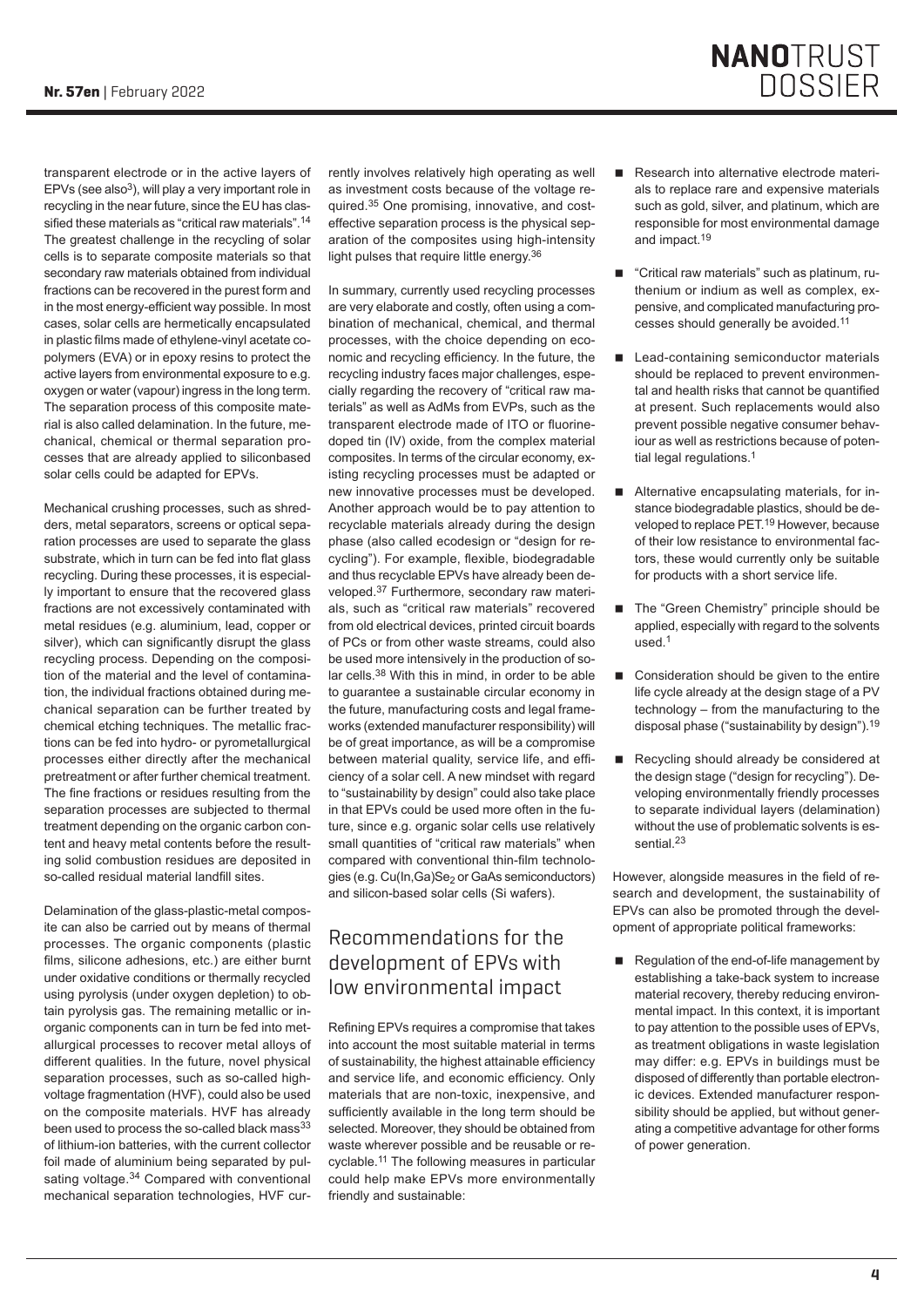transparent electrode or in the active layers of EPVs (see also<sup>3</sup>), will play a very important role in recycling in the near future, since the EU has classified these materials as "critical raw materials".<sup>14</sup> The greatest challenge in the recycling of solar cells is to separate composite materials so that secondary raw materials obtained from individual fractions can be recovered in the purest form and in the most energy-efficient way possible. In most cases, solar cells are hermetically encapsulated in plastic films made of ethylene-vinyl acetate copolymers (EVA) or in epoxy resins to protect the active layers from environmental exposure to e.g. oxygen or water (vapour) ingress in the long term. The separation process of this composite material is also called delamination. In the future, mechanical, chemical or thermal separation processes that are already applied to siliconbased solar cells could be adapted for EPVs.

Mechanical crushing processes, such as shredders, metal separators, screens or optical separation processes are used to separate the glass substrate, which in turn can be fed into flat glass recycling. During these processes, it is especially important to ensure that the recovered glass fractions are not excessively contaminated with metal residues (e.g. aluminium, lead, copper or silver), which can significantly disrupt the glass recycling process. Depending on the composition of the material and the level of contamination, the individual fractions obtained during mechanical separation can be further treated by chemical etching techniques. The metallic fractions can be fed into hydro- or pyrometallurgical processes either directly after the mechanical pretreatment or after further chemical treatment. The fine fractions or residues resulting from the separation processes are subjected to thermal treatment depending on the organic carbon content and heavy metal contents before the resulting solid combustion residues are deposited in so-called residual material landfill sites.

Delamination of the glass-plastic-metal composite can also be carried out by means of thermal processes. The organic components (plastic films, silicone adhesions, etc.) are either burnt under oxidative conditions or thermally recycled using pyrolysis (under oxygen depletion) to obtain pyrolysis gas. The remaining metallic or inorganic components can in turn be fed into metallurgical processes to recover metal alloys of different qualities. In the future, novel physical separation processes, such as so-called highvoltage fragmentation (HVF), could also be used on the composite materials. HVF has already been used to process the so-called black mass<sup>33</sup> of lithium-ion batteries, with the current collector foil made of aluminium being separated by pulsating voltage.<sup>34</sup> Compared with conventional mechanical separation technologies, HVF currently involves relatively high operating as well as investment costs because of the voltage required.35 One promising, innovative, and costeffective separation process is the physical separation of the composites using high-intensity light pulses that require little energy.<sup>36</sup>

In summary, currently used recycling processes are very elaborate and costly, often using a combination of mechanical, chemical, and thermal processes, with the choice depending on economic and recycling efficiency. In the future, the recycling industry faces major challenges, especially regarding the recovery of "critical raw materials" as well as AdMs from EVPs, such as the transparent electrode made of ITO or fluorinedoped tin (IV) oxide, from the complex material composites. In terms of the circular economy, existing recycling processes must be adapted or new innovative processes must be developed. Another approach would be to pay attention to recyclable materials already during the design phase (also called ecodesign or "design for recycling"). For example, flexible, biodegradable and thus recyclable EPVs have already been developed.37 Furthermore, secondary raw materials, such as "critical raw materials" recovered from old electrical devices, printed circuit boards of PCs or from other waste streams, could also be used more intensively in the production of solar cells.38 With this in mind, in order to be able to guarantee a sustainable circular economy in the future, manufacturing costs and legal frameworks (extended manufacturer responsibility) will be of great importance, as will be a compromise between material quality, service life, and efficiency of a solar cell. A new mindset with regard to "sustainability by design" could also take place in that EPVs could be used more often in the future, since e.g. organic solar cells use relatively small quantities of "critical raw materials" when compared with conventional thin-film technologies (e.g. Cu(In,Ga)Se<sub>2</sub> or GaAs semiconductors) and silicon-based solar cells (Si wafers).

# Recommendations for the development of EPVs with low environmental impact

Refining EPVs requires a compromise that takes into account the most suitable material in terms of sustainability, the highest attainable efficiency and service life, and economic efficiency. Only materials that are non-toxic, inexpensive, and sufficiently available in the long term should be selected. Moreover, they should be obtained from waste wherever possible and be reusable or recyclable.11 The following measures in particular could help make EPVs more environmentally friendly and sustainable:

Research into alternative electrode materials to replace rare and expensive materials such as gold, silver, and platinum, which are responsible for most environmental damage and impact.<sup>19</sup>

**NANOTRUST** 

**DOSSIER** 

- "Critical raw materials" such as platinum, ruthenium or indium as well as complex, expensive, and complicated manufacturing processes should generally be avoided.<sup>11</sup>
- Lead-containing semiconductor materials should be replaced to prevent environmental and health risks that cannot be quantified at present. Such replacements would also prevent possible negative consumer behaviour as well as restrictions because of potential legal regulations.<sup>1</sup>
- Alternative encapsulating materials, for instance biodegradable plastics, should be developed to replace PET.19 However, because of their low resistance to environmental factors, these would currently only be suitable for products with a short service life.
- The "Green Chemistry" principle should be applied, especially with regard to the solvents used.<sup>1</sup>
- Consideration should be given to the entire life cycle already at the design stage of a PV technology – from the manufacturing to the disposal phase ("sustainability by design").19
- Recycling should already be considered at the design stage ("design for recycling"). Developing environmentally friendly processes to separate individual layers (delamination) without the use of problematic solvents is essential.<sup>23</sup>

However, alongside measures in the field of research and development, the sustainability of EPVs can also be promoted through the development of appropriate political frameworks:

 Regulation of the end-of-life management by establishing a take-back system to increase material recovery, thereby reducing environmental impact. In this context, it is important to pay attention to the possible uses of EPVs, as treatment obligations in waste legislation may differ: e.g. EPVs in buildings must be disposed of differently than portable electronic devices. Extended manufacturer responsibility should be applied, but without generating a competitive advantage for other forms of power generation.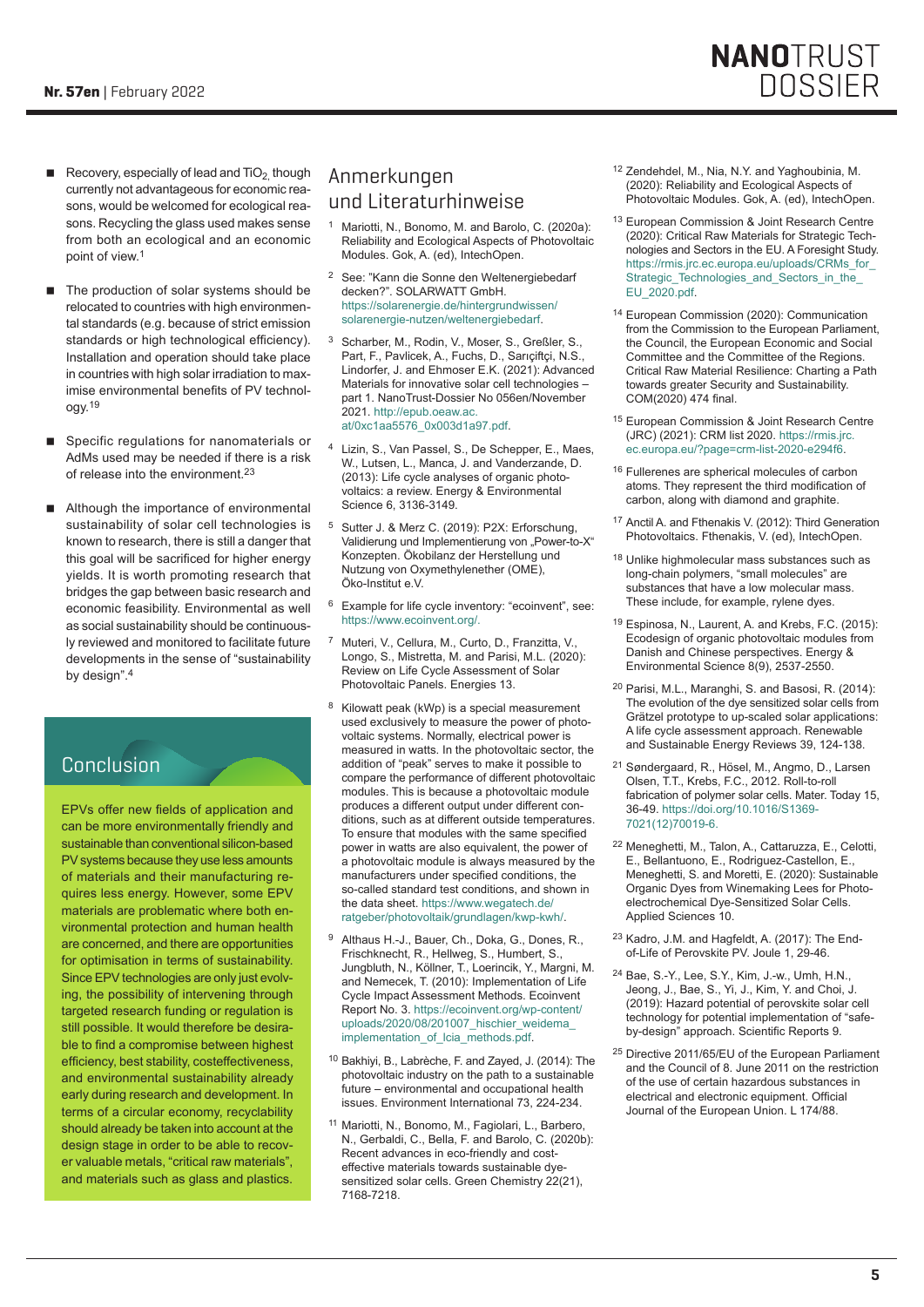- Recovery, especially of lead and  $TiO<sub>2</sub>$  though currently not advantageous for economic reasons, would be welcomed for ecological reasons. Recycling the glass used makes sense from both an ecological and an economic point of view.<sup>1</sup>
- The production of solar systems should be relocated to countries with high environmental standards (e.g. because of strict emission standards or high technological efficiency). Installation and operation should take place in countries with high solar irradiation to maximise environmental benefits of PV technology.<sup>19</sup>
- Specific regulations for nanomaterials or AdMs used may be needed if there is a risk of release into the environment.<sup>23</sup>
- Although the importance of environmental sustainability of solar cell technologies is known to research, there is still a danger that this goal will be sacrificed for higher energy yields. It is worth promoting research that bridges the gap between basic research and economic feasibility. Environmental as well as social sustainability should be continuously reviewed and monitored to facilitate future developments in the sense of "sustainability by design".<sup>4</sup>

## Conclusion

EPVs offer new fields of application and can be more environmentally friendly and sustainable than conventional silicon-based PV systems because they use less amounts of materials and their manufacturing requires less energy. However, some EPV materials are problematic where both environmental protection and human health are concerned, and there are opportunities for optimisation in terms of sustainability. Since EPV technologies are only just evolving, the possibility of intervening through targeted research funding or regulation is still possible. It would therefore be desirable to find a compromise between highest efficiency, best stability, costeffectiveness, and environmental sustainability already early during research and development. In terms of a circular economy, recyclability should already be taken into account at the design stage in order to be able to recover valuable metals, "critical raw materials", and materials such as glass and plastics.

# Anmerkungen und Literaturhinweise

- <sup>1</sup> Mariotti, N., Bonomo, M. and Barolo, C. (2020a): Reliability and Ecological Aspects of Photovoltaic Modules. Gok, A. (ed), IntechOpen.
- <sup>2</sup> See: "Kann die Sonne den Weltenergiebedarf decken?". SOLARWATT GmbH. [https://solarenergie.de/hintergrundwissen/](https://solarenergie.de/hintergrundwissen/solarenergie-nutzen/weltenergiebedarf) [solarenergie-nutzen/weltenergiebedarf](https://solarenergie.de/hintergrundwissen/solarenergie-nutzen/weltenergiebedarf).
- <sup>3</sup> Scharber, M., Rodin, V., Moser, S., Greßler, S., Part, F., Pavlicek, A., Fuchs, D., Sarıçiftçi, N.S., Lindorfer, J. and Ehmoser E.K. (2021): Advanced Materials for innovative solar cell technologies – part 1. NanoTrust-Dossier No 056en/November 2021. [http://epub.oeaw.ac.](http://epub.oeaw.ac.at/0xc1aa5576_0x003d1a97.pdf) [at/0xc1aa5576\\_0x003d1a97.pdf](http://epub.oeaw.ac.at/0xc1aa5576_0x003d1a97.pdf).
- <sup>4</sup> Lizin, S., Van Passel, S., De Schepper, E., Maes, W., Lutsen, L., Manca, J. and Vanderzande, D. (2013): Life cycle analyses of organic photovoltaics: a review. Energy & Environmental Science 6, 3136-3149.
- <sup>5</sup> Sutter J. & Merz C. (2019): P2X: Erforschung, Validierung und Implementierung von "Power-to-X" Konzepten. Ökobilanz der Herstellung und Nutzung von Oxymethylenether (OME), Öko-Institut e.V.
- <sup>6</sup> Example for life cycle inventory: "ecoinvent", see: [https://www.ecoinvent.org/.](https://www.ecoinvent.org/)
- Muteri, V., Cellura, M., Curto, D., Franzitta, V., Longo, S., Mistretta, M. and Parisi, M.L. (2020): Review on Life Cycle Assessment of Solar Photovoltaic Panels. Energies 13.
- <sup>8</sup> Kilowatt peak (kWp) is a special measurement used exclusively to measure the power of photovoltaic systems. Normally, electrical power is measured in watts. In the photovoltaic sector, the addition of "peak" serves to make it possible to compare the performance of different photovoltaic modules. This is because a photovoltaic module produces a different output under different conditions, such as at different outside temperatures. To ensure that modules with the same specified power in watts are also equivalent, the power of a photovoltaic module is always measured by the manufacturers under specified conditions, the so-called standard test conditions, and shown in the data sheet. [https://www.wegatech.de/](https://www.wegatech.de/ratgeber/photovoltaik/grundlagen/kwp-kwh/) [ratgeber/photovoltaik/grundlagen/kwp-kwh/](https://www.wegatech.de/ratgeber/photovoltaik/grundlagen/kwp-kwh/).
- Althaus H.-J., Bauer, Ch., Doka, G., Dones, R., Frischknecht, R., Hellweg, S., Humbert, S., Jungbluth, N., Köllner, T., Loerincik, Y., Margni, M. and Nemecek, T. (2010): Implementation of Life Cycle Impact Assessment Methods. Ecoinvent Report No. 3. [https://ecoinvent.org/wp-content/](https://ecoinvent.org/wp-content/uploads/2020/08/201007_hischier_weidema_implementation_of_lcia_methods.pdf) uploads/2020/08/201007\_hischier\_weidema [implementation\\_of\\_lcia\\_methods.pdf](https://ecoinvent.org/wp-content/uploads/2020/08/201007_hischier_weidema_implementation_of_lcia_methods.pdf).
- <sup>10</sup> Bakhiyi, B., Labrèche, F. and Zayed, J. (2014): The photovoltaic industry on the path to a sustainable future – environmental and occupational health issues. Environment International 73, 224-234.
- <sup>11</sup> Mariotti, N., Bonomo, M., Fagiolari, L., Barbero, N., Gerbaldi, C., Bella, F. and Barolo, C. (2020b): Recent advances in eco-friendly and costeffective materials towards sustainable dyesensitized solar cells. Green Chemistry 22(21), 7168-7218.
- <sup>12</sup> Zendehdel, M., Nia, N.Y. and Yaghoubinia, M. (2020): Reliability and Ecological Aspects of Photovoltaic Modules. Gok, A. (ed), IntechOpen.
- <sup>13</sup> European Commission & Joint Research Centre (2020): Critical Raw Materials for Strategic Technologies and Sectors in the EU. A Foresight Study. [https://rmis.jrc.ec.europa.eu/uploads/CRMs\\_for\\_](https://rmis.jrc.ec.europa.eu/uploads/CRMs_for_Strategic_Technologies_and_Sectors_in_the_EU_2020.pdf) [Strategic\\_Technologies\\_and\\_Sectors\\_in\\_the\\_](https://rmis.jrc.ec.europa.eu/uploads/CRMs_for_Strategic_Technologies_and_Sectors_in_the_EU_2020.pdf) [EU\\_2020.pdf](https://rmis.jrc.ec.europa.eu/uploads/CRMs_for_Strategic_Technologies_and_Sectors_in_the_EU_2020.pdf).
- <sup>14</sup> European Commission (2020): Communication from the Commission to the European Parliament, the Council, the European Economic and Social Committee and the Committee of the Regions. Critical Raw Material Resilience: Charting a Path towards greater Security and Sustainability. COM(2020) 474 final.
- <sup>15</sup> European Commission & Joint Research Centre (JRC) (2021): CRM list 2020. [https://rmis.jrc.](https://rmis.jrc.ec.europa.eu/?page=crm-list-2020-e294f6) [ec.europa.eu/?page=crm-list-2020-e294f6](https://rmis.jrc.ec.europa.eu/?page=crm-list-2020-e294f6).
- <sup>16</sup> Fullerenes are spherical molecules of carbon atoms. They represent the third modification of carbon, along with diamond and graphite.
- <sup>17</sup> Anctil A. and Fthenakis V. (2012): Third Generation Photovoltaics. Fthenakis, V. (ed), IntechOpen.
- 18 Unlike highmolecular mass substances such as long-chain polymers, "small molecules" are substances that have a low molecular mass. These include, for example, rylene dyes.
- <sup>19</sup> Espinosa, N., Laurent, A. and Krebs, F.C. (2015): Ecodesign of organic photovoltaic modules from Danish and Chinese perspectives. Energy & Environmental Science 8(9), 2537-2550.
- <sup>20</sup> Parisi, M.L., Maranghi, S. and Basosi, R. (2014): The evolution of the dye sensitized solar cells from Grätzel prototype to up-scaled solar applications: A life cycle assessment approach. Renewable and Sustainable Energy Reviews 39, 124-138.
- <sup>21</sup> Søndergaard, R., Hösel, M., Angmo, D., Larsen Olsen, T.T., Krebs, F.C., 2012. Roll-to-roll fabrication of polymer solar cells. Mater. Today 15, 36-49. [https://doi.org/10.1016/S1369-](https://doi.org/10.1016/S1369-7021(12)70019-6) [7021\(12\)70019-6.](https://doi.org/10.1016/S1369-7021(12)70019-6)
- <sup>22</sup> Meneghetti, M., Talon, A., Cattaruzza, E., Celotti, E., Bellantuono, E., Rodriguez-Castellon, E., Meneghetti, S. and Moretti, E. (2020): Sustainable Organic Dyes from Winemaking Lees for Photoelectrochemical Dye-Sensitized Solar Cells. Applied Sciences 10.
- <sup>23</sup> Kadro, J.M. and Hagfeldt, A. (2017): The Endof-Life of Perovskite PV. Joule 1, 29-46.
- <sup>24</sup> Bae, S.-Y., Lee, S.Y., Kim, J.-w., Umh, H.N., Jeong, J., Bae, S., Yi, J., Kim, Y. and Choi, J. (2019): Hazard potential of perovskite solar cell technology for potential implementation of "safeby-design" approach. Scientific Reports 9.
- <sup>25</sup> Directive 2011/65/EU of the European Parliament and the Council of 8. June 2011 on the restriction of the use of certain hazardous substances in electrical and electronic equipment. Official Journal of the European Union. L 174/88.